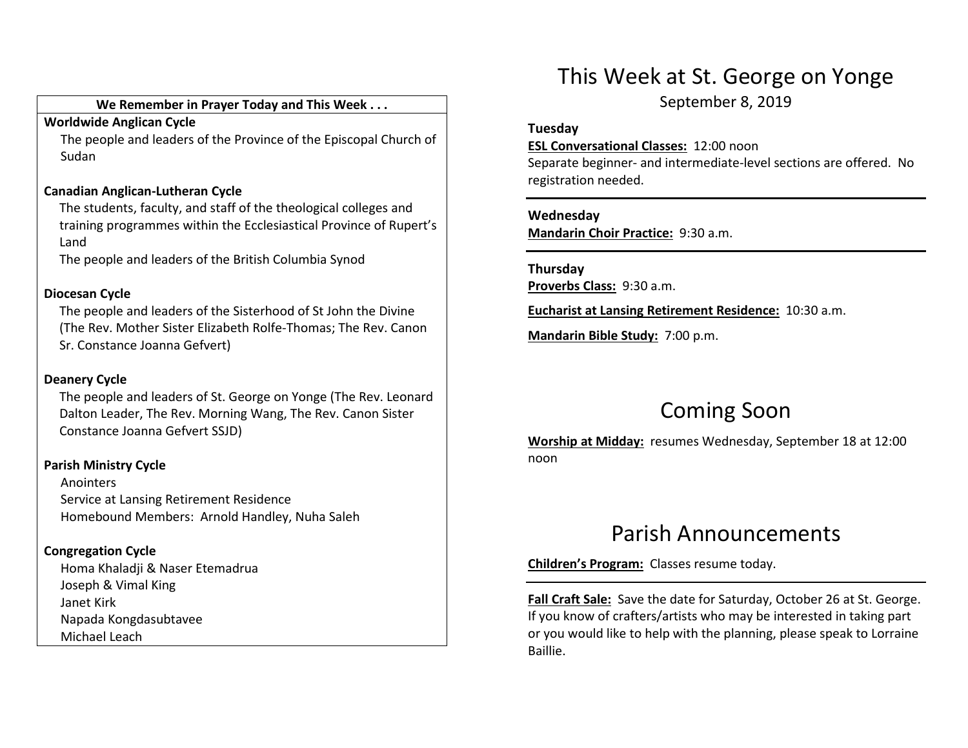#### We Remember in Prayer Today and This Week . . .

#### Worldwide Anglican Cycle

 The people and leaders of the Province of the Episcopal Church of Sudan

#### Canadian Anglican-Lutheran Cycle

The students, faculty, and staff of the theological colleges and training programmes within the Ecclesiastical Province of Rupert's Land

The people and leaders of the British Columbia Synod

#### Diocesan Cycle

The people and leaders of the Sisterhood of St John the Divine (The Rev. Mother Sister Elizabeth Rolfe-Thomas; The Rev. Canon Sr. Constance Joanna Gefvert)

### Deanery Cycle

The people and leaders of St. George on Yonge (The Rev. Leonard Dalton Leader, The Rev. Morning Wang, The Rev. Canon Sister Constance Joanna Gefvert SSJD)

### Parish Ministry Cycle

Anointers Service at Lansing Retirement Residence Homebound Members: Arnold Handley, Nuha Saleh

### Congregation Cycle

Homa Khaladji & Naser Etemadrua Joseph & Vimal King Janet Kirk Napada Kongdasubtavee Michael Leach

## This Week at St. George on Yonge

September 8, 2019

#### Tuesday

ESL Conversational Classes: 12:00 noon

Separate beginner- and intermediate-level sections are offered. No registration needed.

#### Wednesday

Mandarin Choir Practice: 9:30 a.m.

### Thursday Proverbs Class: 9:30 a.m.

Eucharist at Lansing Retirement Residence: 10:30 a.m.

Mandarin Bible Study: 7:00 p.m.

# Coming Soon

Worship at Midday: resumes Wednesday, September 18 at 12:00 noon

## Parish Announcements

Children's Program: Classes resume today.

Fall Craft Sale: Save the date for Saturday, October 26 at St. George. If you know of crafters/artists who may be interested in taking part or you would like to help with the planning, please speak to Lorraine Baillie.